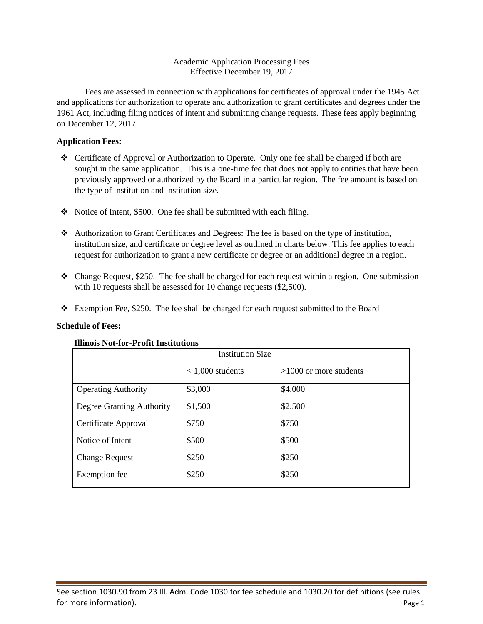### Academic Application Processing Fees Effective December 19, 2017

Fees are assessed in connection with applications for certificates of approval under the 1945 Act and applications for authorization to operate and authorization to grant certificates and degrees under the 1961 Act, including filing notices of intent and submitting change requests. These fees apply beginning on December 12, 2017.

# **Application Fees:**

- Certificate of Approval or Authorization to Operate. Only one fee shall be charged if both are sought in the same application. This is a one-time fee that does not apply to entities that have been previously approved or authorized by the Board in a particular region. The fee amount is based on the type of institution and institution size.
- $\cdot$  Notice of Intent, \$500. One fee shall be submitted with each filing.
- Authorization to Grant Certificates and Degrees: The fee is based on the type of institution, institution size, and certificate or degree level as outlined in charts below. This fee applies to each request for authorization to grant a new certificate or degree or an additional degree in a region.
- Change Request, \$250. The fee shall be charged for each request within a region. One submission with 10 requests shall be assessed for 10 change requests  $(\$2,500)$ .
- Exemption Fee, \$250. The fee shall be charged for each request submitted to the Board

# **Schedule of Fees:**

| 111111015 1401-101 -1 1 0111 111511111110115 |                         |                          |  |
|----------------------------------------------|-------------------------|--------------------------|--|
|                                              | <b>Institution Size</b> |                          |  |
|                                              | $< 1,000$ students      | $>1000$ or more students |  |
| <b>Operating Authority</b>                   | \$3,000                 | \$4,000                  |  |
| Degree Granting Authority                    | \$1,500                 | \$2,500                  |  |
| Certificate Approval                         | \$750                   | \$750                    |  |
| Notice of Intent                             | \$500                   | \$500                    |  |
| <b>Change Request</b>                        | \$250                   | \$250                    |  |
| Exemption fee                                | \$250                   | \$250                    |  |

# **Illinois Not-for-Profit Institutions**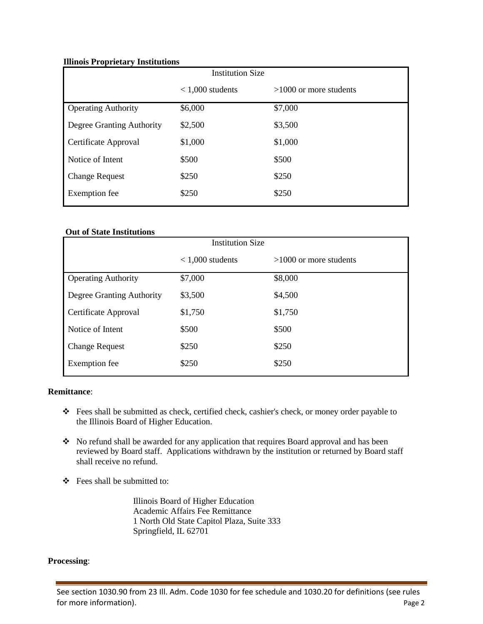### **Illinois Proprietary Institutions**

| <b>Institution Size</b>    |                    |                          |
|----------------------------|--------------------|--------------------------|
|                            | $< 1,000$ students | $>1000$ or more students |
| <b>Operating Authority</b> | \$6,000            | \$7,000                  |
| Degree Granting Authority  | \$2,500            | \$3,500                  |
| Certificate Approval       | \$1,000            | \$1,000                  |
| Notice of Intent           | \$500              | \$500                    |
| <b>Change Request</b>      | \$250              | \$250                    |
| <b>Exemption</b> fee       | \$250              | \$250                    |

# **Out of State Institutions**

| <b>Institution Size</b> |                          |  |
|-------------------------|--------------------------|--|
| $< 1,000$ students      | $>1000$ or more students |  |
| \$7,000                 | \$8,000                  |  |
| \$3,500                 | \$4,500                  |  |
| \$1,750                 | \$1,750                  |  |
| \$500                   | \$500                    |  |
| \$250                   | \$250                    |  |
| \$250                   | \$250                    |  |
|                         |                          |  |

# **Remittance**:

- Fees shall be submitted as check, certified check, cashier's check, or money order payable to the Illinois Board of Higher Education.
- No refund shall be awarded for any application that requires Board approval and has been reviewed by Board staff. Applications withdrawn by the institution or returned by Board staff shall receive no refund.
- Fees shall be submitted to:

Illinois Board of Higher Education Academic Affairs Fee Remittance 1 North Old State Capitol Plaza, Suite 333 Springfield, IL 62701

#### **Processing**: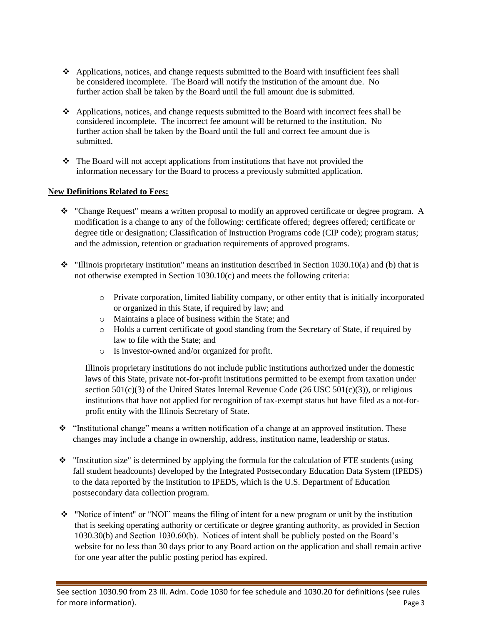- $\triangle$  Applications, notices, and change requests submitted to the Board with insufficient fees shall be considered incomplete. The Board will notify the institution of the amount due. No further action shall be taken by the Board until the full amount due is submitted.
- Applications, notices, and change requests submitted to the Board with incorrect fees shall be considered incomplete. The incorrect fee amount will be returned to the institution. No further action shall be taken by the Board until the full and correct fee amount due is submitted.
- $\hat{\cdot}$  The Board will not accept applications from institutions that have not provided the information necessary for the Board to process a previously submitted application.

### **New Definitions Related to Fees:**

- $\div$  "Change Request" means a written proposal to modify an approved certificate or degree program. A modification is a change to any of the following: certificate offered; degrees offered; certificate or degree title or designation; Classification of Instruction Programs code (CIP code); program status; and the admission, retention or graduation requirements of approved programs.
- $\cdot \cdot$  "Illinois proprietary institution" means an institution described in Section 1030.10(a) and (b) that is not otherwise exempted in Section 1030.10(c) and meets the following criteria:
	- o Private corporation, limited liability company, or other entity that is initially incorporated or organized in this State, if required by law; and
	- o Maintains a place of business within the State; and
	- o Holds a current certificate of good standing from the Secretary of State, if required by law to file with the State; and
	- o Is investor-owned and/or organized for profit.

Illinois proprietary institutions do not include public institutions authorized under the domestic laws of this State, private not-for-profit institutions permitted to be exempt from taxation under section  $501(c)(3)$  of the United States Internal Revenue Code (26 USC  $501(c)(3)$ ), or religious institutions that have not applied for recognition of tax-exempt status but have filed as a not-forprofit entity with the Illinois Secretary of State.

- \* "Institutional change" means a written notification of a change at an approved institution. These changes may include a change in ownership, address, institution name, leadership or status.
- $\cdot \cdot$  "Institution size" is determined by applying the formula for the calculation of FTE students (using fall student headcounts) developed by the Integrated Postsecondary Education Data System (IPEDS) to the data reported by the institution to IPEDS, which is the U.S. Department of Education postsecondary data collection program.
- $\cdot \cdot$  "Notice of intent" or "NOI" means the filing of intent for a new program or unit by the institution that is seeking operating authority or certificate or degree granting authority, as provided in Section 1030.30(b) and Section 1030.60(b). Notices of intent shall be publicly posted on the Board's website for no less than 30 days prior to any Board action on the application and shall remain active for one year after the public posting period has expired.